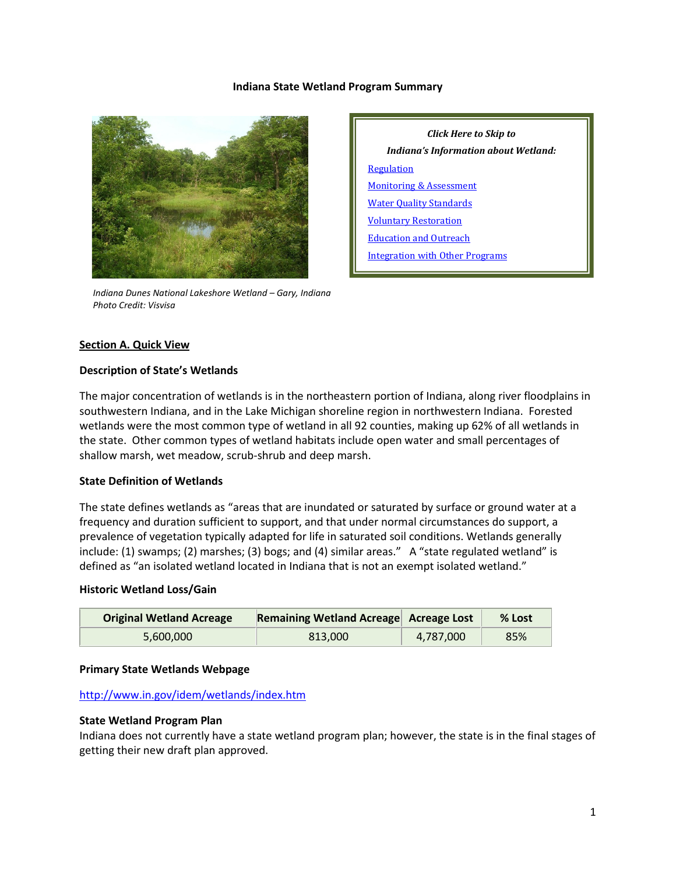#### **Indiana State Wetland Program Summary**



 *Indiana Dunes National Lakeshore Wetland – Gary, Indiana Photo Credit: Visvisa*

*Click Here to Skip to Indiana's Information about Wetland:* **[Regulation](#page-2-0)** [Monitoring & Assessment](#page-4-0) [Water Quality Standards](#page-6-0) [Voluntary Restoration](#page-7-0) [Education and Outreach](#page-8-0) [Integration with Other Programs](#page-9-0)

#### **Section A. Quick View**

#### **Description of State's Wetlands**

The major concentration of wetlands is in the northeastern portion of Indiana, along river floodplains in southwestern Indiana, and in the Lake Michigan shoreline region in northwestern Indiana. Forested wetlands were the most common type of wetland in all 92 counties, making up 62% of all wetlands in the state. Other common types of wetland habitats include open water and small percentages of shallow marsh, wet meadow, scrub-shrub and deep marsh.

#### **State Definition of Wetlands**

The state defines wetlands as "areas that are inundated or saturated by surface or ground water at a frequency and duration sufficient to support, and that under normal circumstances do support, a prevalence of vegetation typically adapted for life in saturated soil conditions. Wetlands generally include: (1) swamps; (2) marshes; (3) bogs; and (4) similar areas." A "state regulated wetland" is defined as "an isolated wetland located in Indiana that is not an exempt isolated wetland."

#### **Historic Wetland Loss/Gain**

| <b>Original Wetland Acreage</b> | Remaining Wetland Acreage Acreage Lost |           | $%$ Lost |
|---------------------------------|----------------------------------------|-----------|----------|
| 5.600.000                       | 813,000                                | 4,787,000 | 85%      |

#### **Primary State Wetlands Webpage**

#### <http://www.in.gov/idem/wetlands/index.htm>

#### **State Wetland Program Plan**

Indiana does not currently have a state wetland program plan; however, the state is in the final stages of getting their new draft plan approved.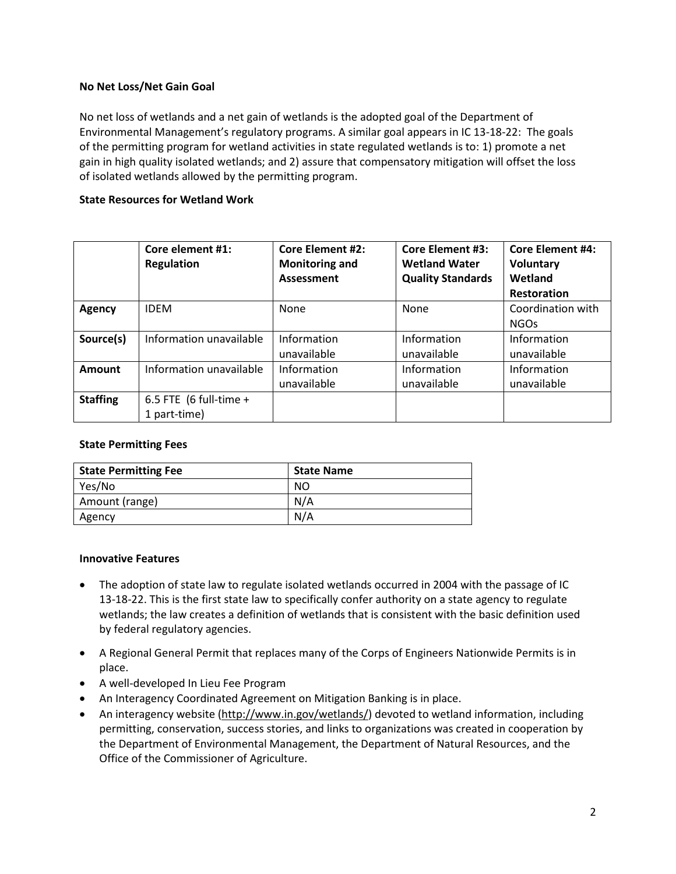# **No Net Loss/Net Gain Goal**

No net loss of wetlands and a net gain of wetlands is the adopted goal of the Department of Environmental Management's regulatory programs. A similar goal appears in IC 13-18-22: The goals of the permitting program for wetland activities in state regulated wetlands is to: 1) promote a net gain in high quality isolated wetlands; and 2) assure that compensatory mitigation will offset the loss of isolated wetlands allowed by the permitting program.

# **State Resources for Wetland Work**

|                 | Core element #1:<br><b>Regulation</b>  | <b>Core Element #2:</b><br><b>Monitoring and</b><br><b>Assessment</b> | <b>Core Element #3:</b><br><b>Wetland Water</b><br><b>Quality Standards</b> | <b>Core Element #4:</b><br>Voluntary<br>Wetland<br>Restoration |
|-----------------|----------------------------------------|-----------------------------------------------------------------------|-----------------------------------------------------------------------------|----------------------------------------------------------------|
| Agency          | <b>IDEM</b>                            | None                                                                  | None                                                                        | Coordination with<br><b>NGOs</b>                               |
| Source(s)       | Information unavailable                | Information<br>unavailable                                            | Information<br>unavailable                                                  | Information<br>unavailable                                     |
| Amount          | Information unavailable                | Information<br>unavailable                                            | Information<br>unavailable                                                  | Information<br>unavailable                                     |
| <b>Staffing</b> | 6.5 FTE (6 full-time +<br>1 part-time) |                                                                       |                                                                             |                                                                |

## **State Permitting Fees**

| <b>State Permitting Fee</b> | <b>State Name</b> |
|-----------------------------|-------------------|
| Yes/No                      | NO                |
| Amount (range)              | N/A               |
| Agency                      | N/A               |

## **Innovative Features**

- The adoption of state law to regulate isolated wetlands occurred in 2004 with the passage of IC 13-18-22. This is the first state law to specifically confer authority on a state agency to regulate wetlands; the law creates a definition of wetlands that is consistent with the basic definition used by federal regulatory agencies.
- A Regional General Permit that replaces many of the Corps of Engineers Nationwide Permits is in place.
- A well-developed In Lieu Fee Program
- An Interagency Coordinated Agreement on Mitigation Banking is in place.
- An interagency website [\(http://www.in.gov/wetlands/\)](http://www.in.gov/wetlands/) devoted to wetland information, including permitting, conservation, success stories, and links to organizations was created in cooperation by the Department of Environmental Management, the Department of Natural Resources, and the Office of the Commissioner of Agriculture.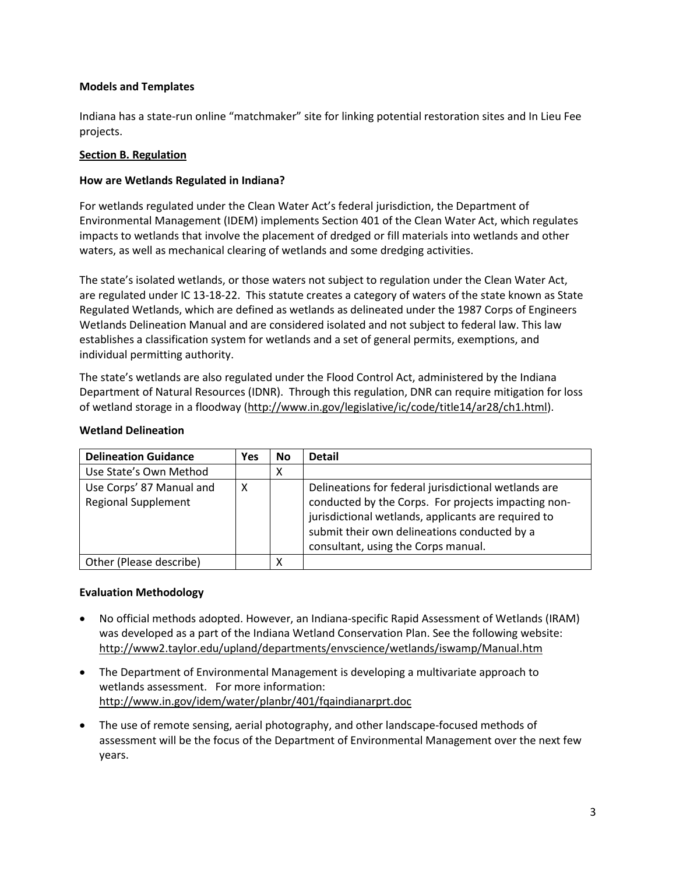# **Models and Templates**

Indiana has a state-run online "matchmaker" site for linking potential restoration sites and In Lieu Fee projects.

# <span id="page-2-0"></span>**Section B. Regulation**

# **How are Wetlands Regulated in Indiana?**

For wetlands regulated under the Clean Water Act's federal jurisdiction, the Department of Environmental Management (IDEM) implements Section 401 of the Clean Water Act, which regulates impacts to wetlands that involve the placement of dredged or fill materials into wetlands and other waters, as well as mechanical clearing of wetlands and some dredging activities.

The state's isolated wetlands, or those waters not subject to regulation under the Clean Water Act, are regulated under IC 13-18-22. This statute creates a category of waters of the state known as State Regulated Wetlands, which are defined as wetlands as delineated under the 1987 Corps of Engineers Wetlands Delineation Manual and are considered isolated and not subject to federal law. This law establishes a classification system for wetlands and a set of general permits, exemptions, and individual permitting authority.

The state's wetlands are also regulated under the Flood Control Act, administered by the Indiana Department of Natural Resources (IDNR). Through this regulation, DNR can require mitigation for loss of wetland storage in a floodway [\(http://www.in.gov/legislative/ic/code/title14/ar28/ch1.html\)](http://www.in.gov/legislative/ic/code/title14/ar28/ch1.html).

## **Wetland Delineation**

| <b>Delineation Guidance</b>                            | Yes | <b>No</b> | <b>Detail</b>                                                                                                                                                                                                                                             |
|--------------------------------------------------------|-----|-----------|-----------------------------------------------------------------------------------------------------------------------------------------------------------------------------------------------------------------------------------------------------------|
| Use State's Own Method                                 |     | х         |                                                                                                                                                                                                                                                           |
| Use Corps' 87 Manual and<br><b>Regional Supplement</b> | х   |           | Delineations for federal jurisdictional wetlands are<br>conducted by the Corps. For projects impacting non-<br>jurisdictional wetlands, applicants are required to<br>submit their own delineations conducted by a<br>consultant, using the Corps manual. |
| Other (Please describe)                                |     |           |                                                                                                                                                                                                                                                           |

## **Evaluation Methodology**

- No official methods adopted. However, an Indiana-specific Rapid Assessment of Wetlands (IRAM) was developed as a part of the Indiana Wetland Conservation Plan. See the following website: <http://www2.taylor.edu/upland/departments/envscience/wetlands/iswamp/Manual.htm>
- The Department of Environmental Management is developing a multivariate approach to wetlands assessment. For more information: <http://www.in.gov/idem/water/planbr/401/fqaindianarprt.doc>
- The use of remote sensing, aerial photography, and other landscape-focused methods of assessment will be the focus of the Department of Environmental Management over the next few years.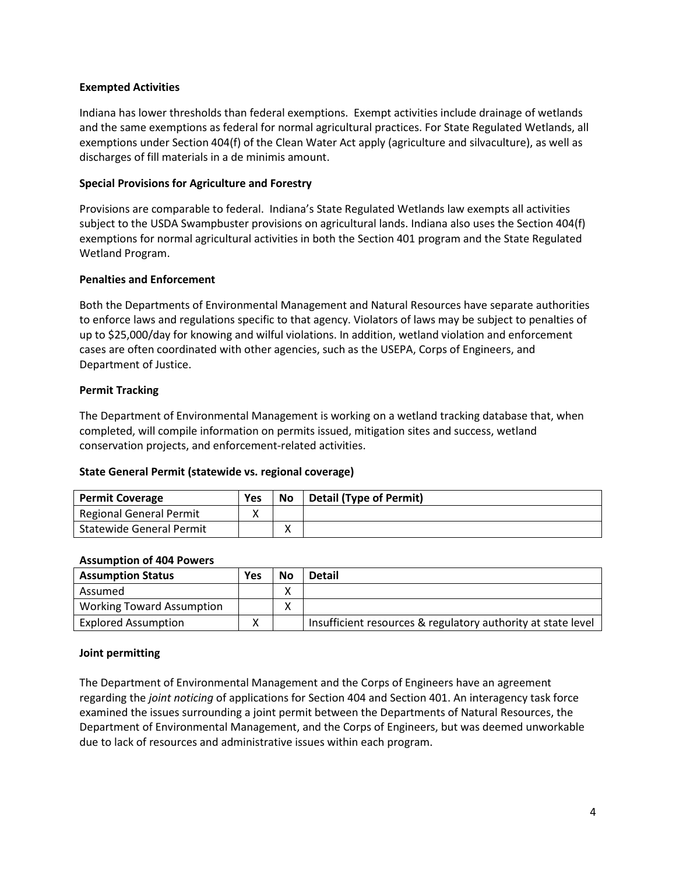### **Exempted Activities**

Indiana has lower thresholds than federal exemptions. Exempt activities include drainage of wetlands and the same exemptions as federal for normal agricultural practices. For State Regulated Wetlands, all exemptions under Section 404(f) of the Clean Water Act apply (agriculture and silvaculture), as well as discharges of fill materials in a de minimis amount.

#### **Special Provisions for Agriculture and Forestry**

Provisions are comparable to federal. Indiana's State Regulated Wetlands law exempts all activities subject to the USDA Swampbuster provisions on agricultural lands. Indiana also uses the Section 404(f) exemptions for normal agricultural activities in both the Section 401 program and the State Regulated Wetland Program.

#### **Penalties and Enforcement**

Both the Departments of Environmental Management and Natural Resources have separate authorities to enforce laws and regulations specific to that agency. Violators of laws may be subject to penalties of up to \$25,000/day for knowing and wilful violations. In addition, wetland violation and enforcement cases are often coordinated with other agencies, such as the USEPA, Corps of Engineers, and Department of Justice.

#### **Permit Tracking**

The Department of Environmental Management is working on a wetland tracking database that, when completed, will compile information on permits issued, mitigation sites and success, wetland conservation projects, and enforcement-related activities.

#### **State General Permit (statewide vs. regional coverage)**

| <b>Permit Coverage</b>          | Yes | <b>No</b> | Detail (Type of Permit) |
|---------------------------------|-----|-----------|-------------------------|
| Regional General Permit         |     |           |                         |
| <b>Statewide General Permit</b> |     |           |                         |

#### **Assumption of 404 Powers**

| <b>Assumption Status</b>         | Yes | <b>No</b> | <b>Detail</b>                                                |
|----------------------------------|-----|-----------|--------------------------------------------------------------|
| Assumed                          |     | v<br>Λ    |                                                              |
| <b>Working Toward Assumption</b> |     | v<br>Λ    |                                                              |
| <b>Explored Assumption</b>       |     |           | Insufficient resources & regulatory authority at state level |

## **Joint permitting**

The Department of Environmental Management and the Corps of Engineers have an agreement regarding the *joint noticing* of applications for Section 404 and Section 401. An interagency task force examined the issues surrounding a joint permit between the Departments of Natural Resources, the Department of Environmental Management, and the Corps of Engineers, but was deemed unworkable due to lack of resources and administrative issues within each program.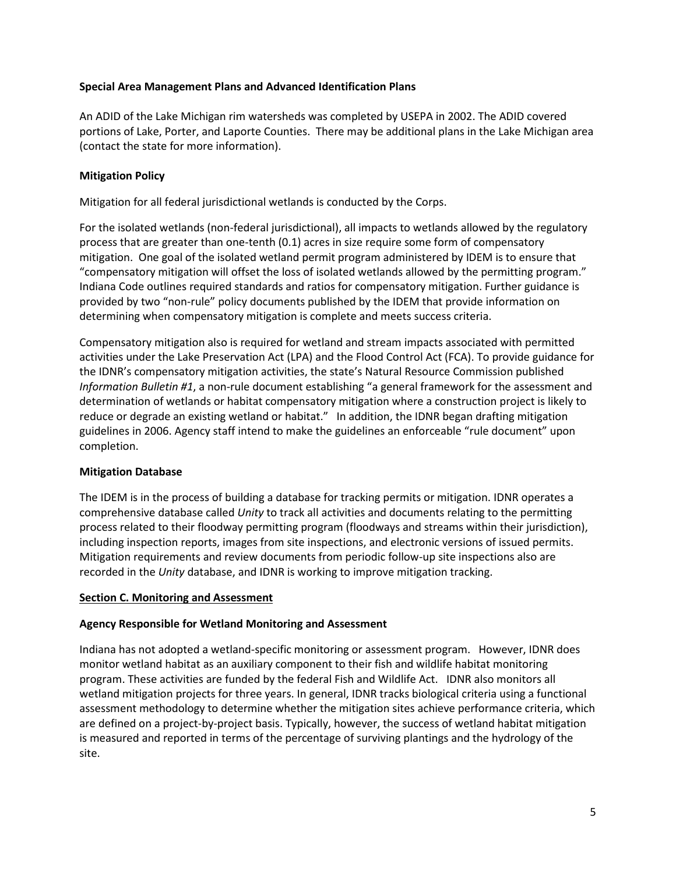# **Special Area Management Plans and Advanced Identification Plans**

An ADID of the Lake Michigan rim watersheds was completed by USEPA in 2002. The ADID covered portions of Lake, Porter, and Laporte Counties. There may be additional plans in the Lake Michigan area (contact the state for more information).

# **Mitigation Policy**

Mitigation for all federal jurisdictional wetlands is conducted by the Corps.

For the isolated wetlands (non-federal jurisdictional), all impacts to wetlands allowed by the regulatory process that are greater than one-tenth (0.1) acres in size require some form of compensatory mitigation. One goal of the isolated wetland permit program administered by IDEM is to ensure that "compensatory mitigation will offset the loss of isolated wetlands allowed by the permitting program." Indiana Code outlines required standards and ratios for compensatory mitigation. Further guidance is provided by two "non-rule" policy documents published by the IDEM that provide information on determining when compensatory mitigation is complete and meets success criteria.

Compensatory mitigation also is required for wetland and stream impacts associated with permitted activities under the Lake Preservation Act (LPA) and the Flood Control Act (FCA). To provide guidance for the IDNR's compensatory mitigation activities, the state's Natural Resource Commission published *Information Bulletin #1*, a non-rule document establishing "a general framework for the assessment and determination of wetlands or habitat compensatory mitigation where a construction project is likely to reduce or degrade an existing wetland or habitat." In addition, the IDNR began drafting mitigation guidelines in 2006. Agency staff intend to make the guidelines an enforceable "rule document" upon completion.

## **Mitigation Database**

The IDEM is in the process of building a database for tracking permits or mitigation. IDNR operates a comprehensive database called *Unity* to track all activities and documents relating to the permitting process related to their floodway permitting program (floodways and streams within their jurisdiction), including inspection reports, images from site inspections, and electronic versions of issued permits. Mitigation requirements and review documents from periodic follow-up site inspections also are recorded in the *Unity* database, and IDNR is working to improve mitigation tracking.

## <span id="page-4-0"></span>**Section C. Monitoring and Assessment**

## **Agency Responsible for Wetland Monitoring and Assessment**

Indiana has not adopted a wetland-specific monitoring or assessment program. However, IDNR does monitor wetland habitat as an auxiliary component to their fish and wildlife habitat monitoring program. These activities are funded by the federal Fish and Wildlife Act. IDNR also monitors all wetland mitigation projects for three years. In general, IDNR tracks biological criteria using a functional assessment methodology to determine whether the mitigation sites achieve performance criteria, which are defined on a project-by-project basis. Typically, however, the success of wetland habitat mitigation is measured and reported in terms of the percentage of surviving plantings and the hydrology of the site.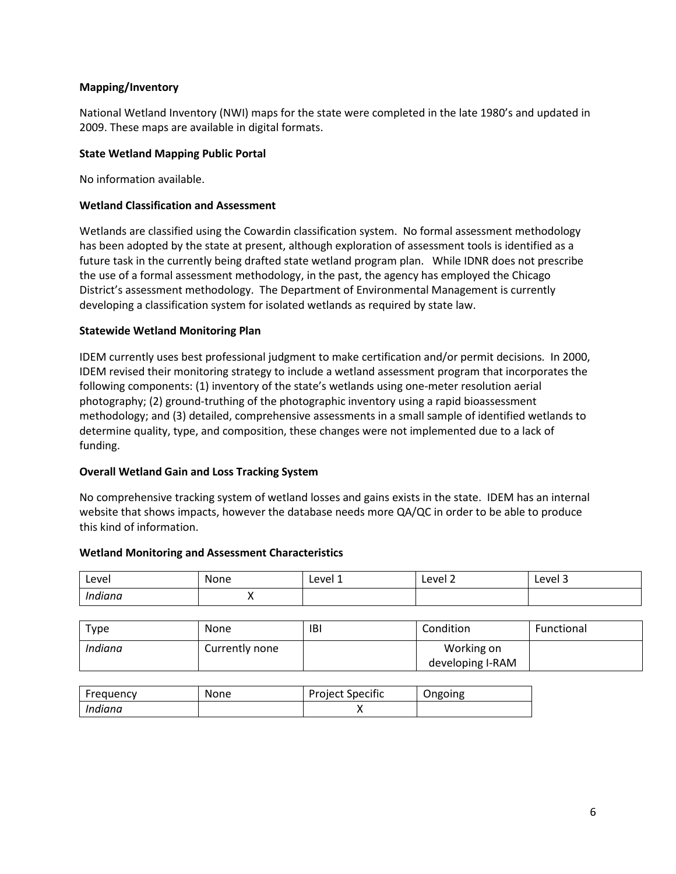# **Mapping/Inventory**

National Wetland Inventory (NWI) maps for the state were completed in the late 1980's and updated in 2009. These maps are available in digital formats.

## **State Wetland Mapping Public Portal**

No information available.

# **Wetland Classification and Assessment**

Wetlands are classified using the Cowardin classification system. No formal assessment methodology has been adopted by the state at present, although exploration of assessment tools is identified as a future task in the currently being drafted state wetland program plan. While IDNR does not prescribe the use of a formal assessment methodology, in the past, the agency has employed the Chicago District's assessment methodology. The Department of Environmental Management is currently developing a classification system for isolated wetlands as required by state law.

# **Statewide Wetland Monitoring Plan**

IDEM currently uses best professional judgment to make certification and/or permit decisions*.* In 2000, IDEM revised their monitoring strategy to include a wetland assessment program that incorporates the following components: (1) inventory of the state's wetlands using one-meter resolution aerial photography; (2) ground-truthing of the photographic inventory using a rapid bioassessment methodology; and (3) detailed, comprehensive assessments in a small sample of identified wetlands to determine quality, type, and composition, these changes were not implemented due to a lack of funding.

## **Overall Wetland Gain and Loss Tracking System**

No comprehensive tracking system of wetland losses and gains exists in the state. IDEM has an internal website that shows impacts, however the database needs more QA/QC in order to be able to produce this kind of information.

## **Wetland Monitoring and Assessment Characteristics**

| Level   | None | Level 1 | Level 2 | -<br>Level 3 |
|---------|------|---------|---------|--------------|
| Indiana | . .  |         |         |              |

| Type    | None           | IBI | Condition        | Functional |
|---------|----------------|-----|------------------|------------|
| Indiana | Currently none |     | Working on       |            |
|         |                |     | developing I-RAM |            |

| Frequency | None | <b>Project Specific</b> | Ongoing |
|-----------|------|-------------------------|---------|
| Indiana   |      |                         |         |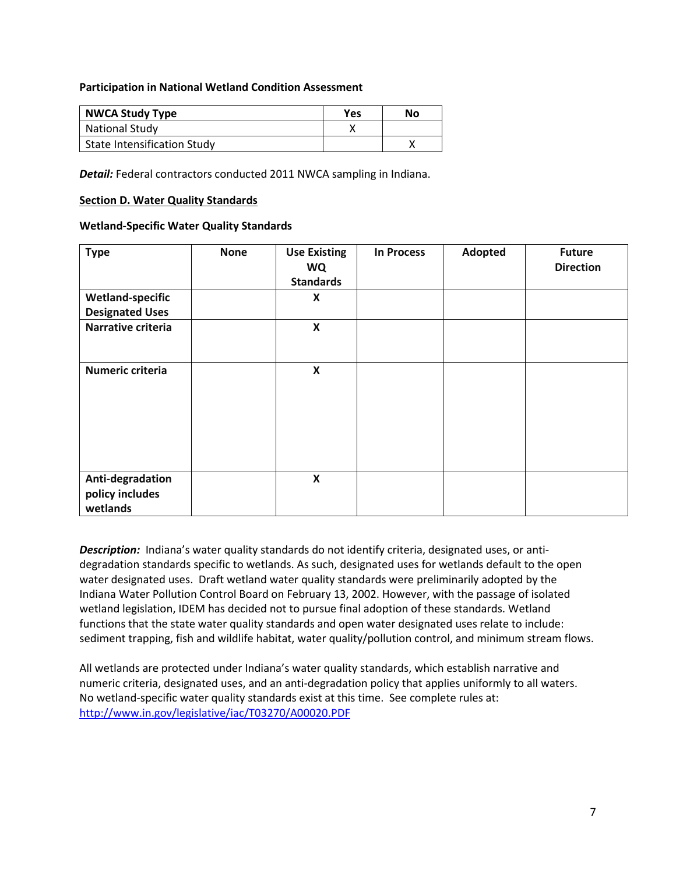#### **Participation in National Wetland Condition Assessment**

| <b>NWCA Study Type</b>             | <b>Yes</b> | No |
|------------------------------------|------------|----|
| <b>National Study</b>              |            |    |
| <b>State Intensification Study</b> |            |    |

**Detail:** Federal contractors conducted 2011 NWCA sampling in Indiana.

#### <span id="page-6-0"></span>**Section D. Water Quality Standards**

#### **Wetland-Specific Water Quality Standards**

| <b>Type</b>                                       | <b>None</b> | <b>Use Existing</b><br><b>WQ</b><br><b>Standards</b> | <b>In Process</b> | Adopted | <b>Future</b><br><b>Direction</b> |
|---------------------------------------------------|-------------|------------------------------------------------------|-------------------|---------|-----------------------------------|
| <b>Wetland-specific</b><br><b>Designated Uses</b> |             | X                                                    |                   |         |                                   |
| Narrative criteria                                |             | $\boldsymbol{\mathsf{X}}$                            |                   |         |                                   |
| Numeric criteria                                  |             | $\pmb{\mathsf{X}}$                                   |                   |         |                                   |
| Anti-degradation<br>policy includes<br>wetlands   |             | $\pmb{\mathsf{X}}$                                   |                   |         |                                   |

**Description:** Indiana's water quality standards do not identify criteria, designated uses, or antidegradation standards specific to wetlands. As such, designated uses for wetlands default to the open water designated uses. Draft wetland water quality standards were preliminarily adopted by the Indiana Water Pollution Control Board on February 13, 2002. However, with the passage of isolated wetland legislation, IDEM has decided not to pursue final adoption of these standards. Wetland functions that the state water quality standards and open water designated uses relate to include: sediment trapping, fish and wildlife habitat, water quality/pollution control, and minimum stream flows.

All wetlands are protected under Indiana's water quality standards, which establish narrative and numeric criteria, designated uses, and an anti-degradation policy that applies uniformly to all waters. No wetland-specific water quality standards exist at this time. See complete rules at: <http://www.in.gov/legislative/iac/T03270/A00020.PDF>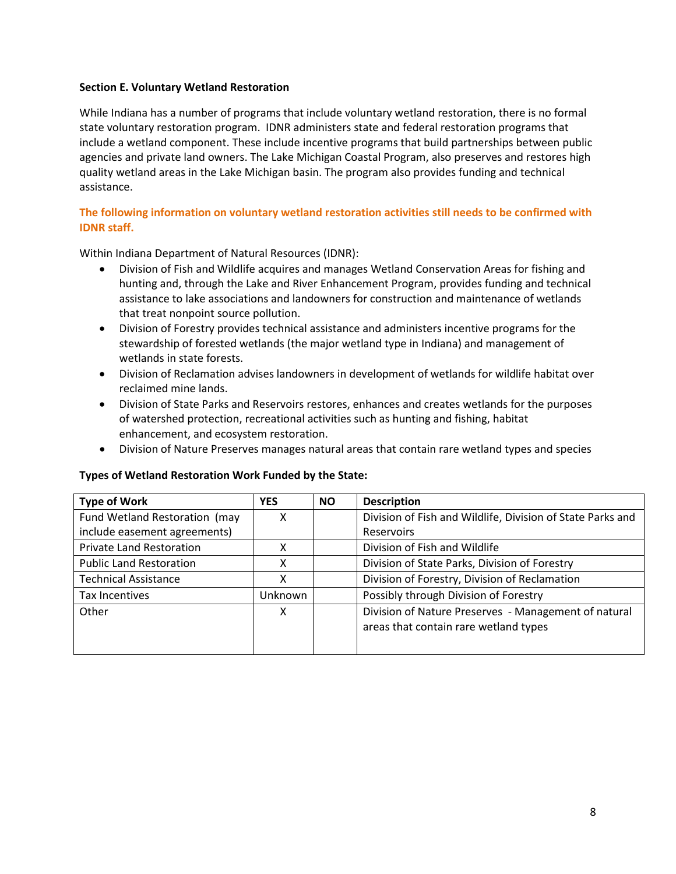# <span id="page-7-0"></span>**Section E. Voluntary Wetland Restoration**

While Indiana has a number of programs that include voluntary wetland restoration, there is no formal state voluntary restoration program. IDNR administers state and federal restoration programs that include a wetland component. These include incentive programs that build partnerships between public agencies and private land owners. The Lake Michigan Coastal Program, also preserves and restores high quality wetland areas in the Lake Michigan basin. The program also provides funding and technical assistance.

# **The following information on voluntary wetland restoration activities still needs to be confirmed with IDNR staff.**

Within Indiana Department of Natural Resources (IDNR):

- Division of Fish and Wildlife acquires and manages Wetland Conservation Areas for fishing and hunting and, through the Lake and River Enhancement Program, provides funding and technical assistance to lake associations and landowners for construction and maintenance of wetlands that treat nonpoint source pollution.
- Division of Forestry provides technical assistance and administers incentive programs for the stewardship of forested wetlands (the major wetland type in Indiana) and management of wetlands in state forests.
- Division of Reclamation advises landowners in development of wetlands for wildlife habitat over reclaimed mine lands.
- Division of State Parks and Reservoirs restores, enhances and creates wetlands for the purposes of watershed protection, recreational activities such as hunting and fishing, habitat enhancement, and ecosystem restoration.
- Division of Nature Preserves manages natural areas that contain rare wetland types and species

## **Types of Wetland Restoration Work Funded by the State:**

| <b>Type of Work</b>             | <b>YES</b> | <b>NO</b> | <b>Description</b>                                         |
|---------------------------------|------------|-----------|------------------------------------------------------------|
| Fund Wetland Restoration (may   | χ          |           | Division of Fish and Wildlife, Division of State Parks and |
| include easement agreements)    |            |           | Reservoirs                                                 |
| <b>Private Land Restoration</b> |            |           | Division of Fish and Wildlife                              |
| <b>Public Land Restoration</b>  | χ          |           | Division of State Parks, Division of Forestry              |
| <b>Technical Assistance</b>     | χ          |           | Division of Forestry, Division of Reclamation              |
| <b>Tax Incentives</b>           | Unknown    |           | Possibly through Division of Forestry                      |
| Other                           | X          |           | Division of Nature Preserves - Management of natural       |
|                                 |            |           | areas that contain rare wetland types                      |
|                                 |            |           |                                                            |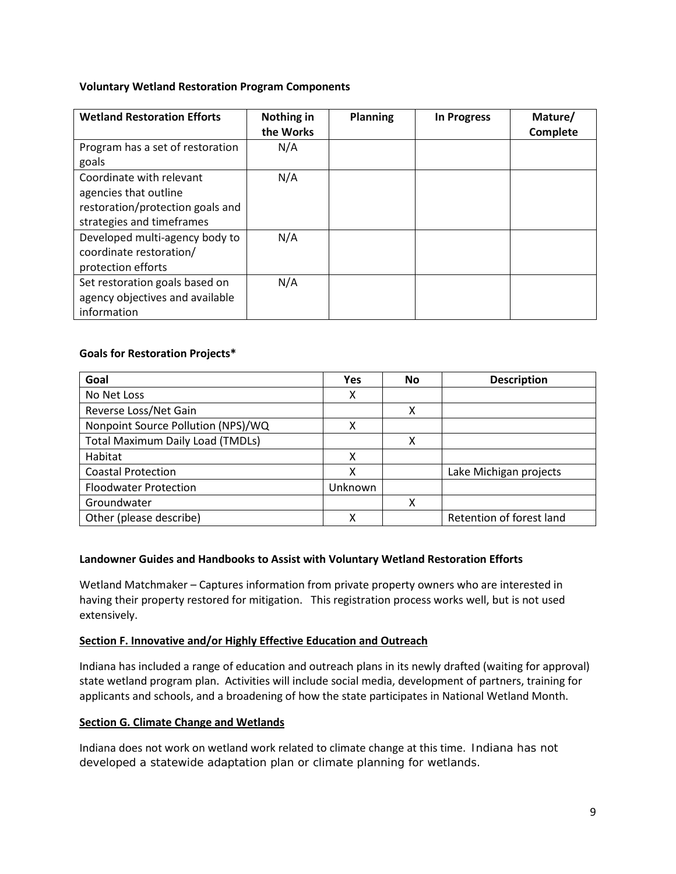# **Voluntary Wetland Restoration Program Components**

| <b>Wetland Restoration Efforts</b>                                                                                 | Nothing in<br>the Works | <b>Planning</b> | <b>In Progress</b> | Mature/<br>Complete |
|--------------------------------------------------------------------------------------------------------------------|-------------------------|-----------------|--------------------|---------------------|
| Program has a set of restoration<br>goals                                                                          | N/A                     |                 |                    |                     |
| Coordinate with relevant<br>agencies that outline<br>restoration/protection goals and<br>strategies and timeframes | N/A                     |                 |                    |                     |
| Developed multi-agency body to<br>coordinate restoration/<br>protection efforts                                    | N/A                     |                 |                    |                     |
| Set restoration goals based on<br>agency objectives and available<br>information                                   | N/A                     |                 |                    |                     |

# **Goals for Restoration Projects\***

| Goal                                    | Yes     | No | <b>Description</b>       |
|-----------------------------------------|---------|----|--------------------------|
| No Net Loss                             | х       |    |                          |
| Reverse Loss/Net Gain                   |         | x  |                          |
| Nonpoint Source Pollution (NPS)/WQ      | х       |    |                          |
| <b>Total Maximum Daily Load (TMDLs)</b> |         | χ  |                          |
| Habitat                                 | χ       |    |                          |
| <b>Coastal Protection</b>               | x       |    | Lake Michigan projects   |
| <b>Floodwater Protection</b>            | Unknown |    |                          |
| Groundwater                             |         | x  |                          |
| Other (please describe)                 | χ       |    | Retention of forest land |

## **Landowner Guides and Handbooks to Assist with Voluntary Wetland Restoration Efforts**

Wetland Matchmaker – Captures information from private property owners who are interested in having their property restored for mitigation. This registration process works well, but is not used extensively.

## <span id="page-8-0"></span>**Section F. Innovative and/or Highly Effective Education and Outreach**

Indiana has included a range of education and outreach plans in its newly drafted (waiting for approval) state wetland program plan. Activities will include social media, development of partners, training for applicants and schools, and a broadening of how the state participates in National Wetland Month.

## **Section G. Climate Change and Wetlands**

Indiana does not work on wetland work related to climate change at this time. Indiana has not developed a statewide adaptation plan or climate planning for wetlands.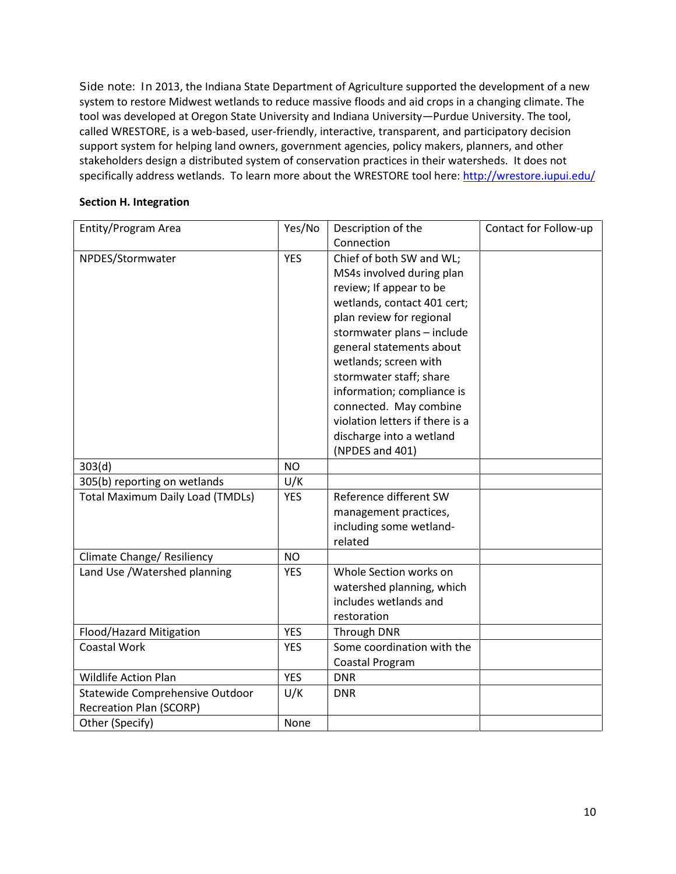Side note: In 2013, the Indiana State Department of Agriculture supported the development of a new system to restore Midwest wetlands to reduce massive floods and aid crops in a changing climate. The tool was developed at Oregon State University and Indiana University—Purdue University. The tool, called WRESTORE, is a web-based, user-friendly, interactive, transparent, and participatory decision support system for helping land owners, government agencies, policy makers, planners, and other stakeholders design a distributed system of conservation practices in their watersheds. It does not specifically address wetlands. To learn more about the WRESTORE tool here:<http://wrestore.iupui.edu/>

# <span id="page-9-0"></span>**Section H. Integration**

| Entity/Program Area                     | Yes/No     | Description of the              | Contact for Follow-up |
|-----------------------------------------|------------|---------------------------------|-----------------------|
|                                         |            | Connection                      |                       |
| NPDES/Stormwater                        | <b>YES</b> | Chief of both SW and WL;        |                       |
|                                         |            | MS4s involved during plan       |                       |
|                                         |            | review; If appear to be         |                       |
|                                         |            | wetlands, contact 401 cert;     |                       |
|                                         |            | plan review for regional        |                       |
|                                         |            | stormwater plans - include      |                       |
|                                         |            | general statements about        |                       |
|                                         |            | wetlands; screen with           |                       |
|                                         |            | stormwater staff; share         |                       |
|                                         |            | information; compliance is      |                       |
|                                         |            | connected. May combine          |                       |
|                                         |            | violation letters if there is a |                       |
|                                         |            | discharge into a wetland        |                       |
|                                         |            | (NPDES and 401)                 |                       |
| 303(d)                                  | <b>NO</b>  |                                 |                       |
| 305(b) reporting on wetlands            | U/K        |                                 |                       |
| <b>Total Maximum Daily Load (TMDLs)</b> | <b>YES</b> | Reference different SW          |                       |
|                                         |            | management practices,           |                       |
|                                         |            | including some wetland-         |                       |
|                                         |            | related                         |                       |
| Climate Change/ Resiliency              | NO         |                                 |                       |
| Land Use / Watershed planning           | <b>YES</b> | Whole Section works on          |                       |
|                                         |            | watershed planning, which       |                       |
|                                         |            | includes wetlands and           |                       |
|                                         |            | restoration                     |                       |
| Flood/Hazard Mitigation                 | <b>YES</b> | Through DNR                     |                       |
| <b>Coastal Work</b>                     | <b>YES</b> | Some coordination with the      |                       |
|                                         |            | Coastal Program                 |                       |
| <b>Wildlife Action Plan</b>             | <b>YES</b> | <b>DNR</b>                      |                       |
| Statewide Comprehensive Outdoor         | U/K        | <b>DNR</b>                      |                       |
| <b>Recreation Plan (SCORP)</b>          |            |                                 |                       |
| Other (Specify)                         | None       |                                 |                       |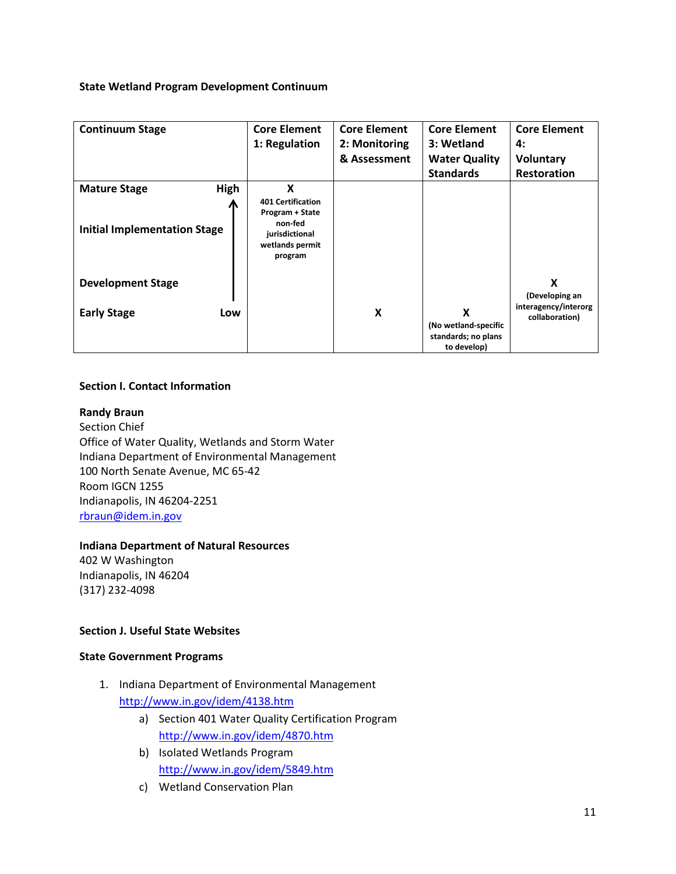### **State Wetland Program Development Continuum**

| <b>Continuum Stage</b>                                             | <b>Core Element</b><br>1: Regulation                                                                        | <b>Core Element</b><br>2: Monitoring<br>& Assessment | <b>Core Element</b><br>3: Wetland<br><b>Water Quality</b><br><b>Standards</b> | <b>Core Element</b><br>4:<br><b>Voluntary</b><br><b>Restoration</b> |
|--------------------------------------------------------------------|-------------------------------------------------------------------------------------------------------------|------------------------------------------------------|-------------------------------------------------------------------------------|---------------------------------------------------------------------|
| High<br><b>Mature Stage</b><br><b>Initial Implementation Stage</b> | X<br><b>401 Certification</b><br>Program + State<br>non-fed<br>jurisdictional<br>wetlands permit<br>program |                                                      |                                                                               |                                                                     |
| <b>Development Stage</b>                                           |                                                                                                             |                                                      |                                                                               | X<br>(Developing an                                                 |
| <b>Early Stage</b><br>Low                                          |                                                                                                             | X                                                    | X<br>(No wetland-specific<br>standards; no plans<br>to develop)               | interagency/interorg<br>collaboration)                              |

### **Section I. Contact Information**

#### **Randy Braun**

Section Chief Office of Water Quality, Wetlands and Storm Water Indiana Department of Environmental Management 100 North Senate Avenue, MC 65-42 Room IGCN 1255 Indianapolis, IN 46204-2251 [rbraun@idem.in.gov](mailto:rbraun@idem.in.gov)

# **Indiana Department of Natural Resources**

402 W Washington Indianapolis, IN 46204 (317) 232-4098

# **Section J. Useful State Websites**

#### **State Government Programs**

- 1. Indiana Department of Environmental Management <http://www.in.gov/idem/4138.htm>
	- a) Section 401 Water Quality Certification Program <http://www.in.gov/idem/4870.htm>
	- b) Isolated Wetlands Program <http://www.in.gov/idem/5849.htm>
	- c) Wetland Conservation Plan